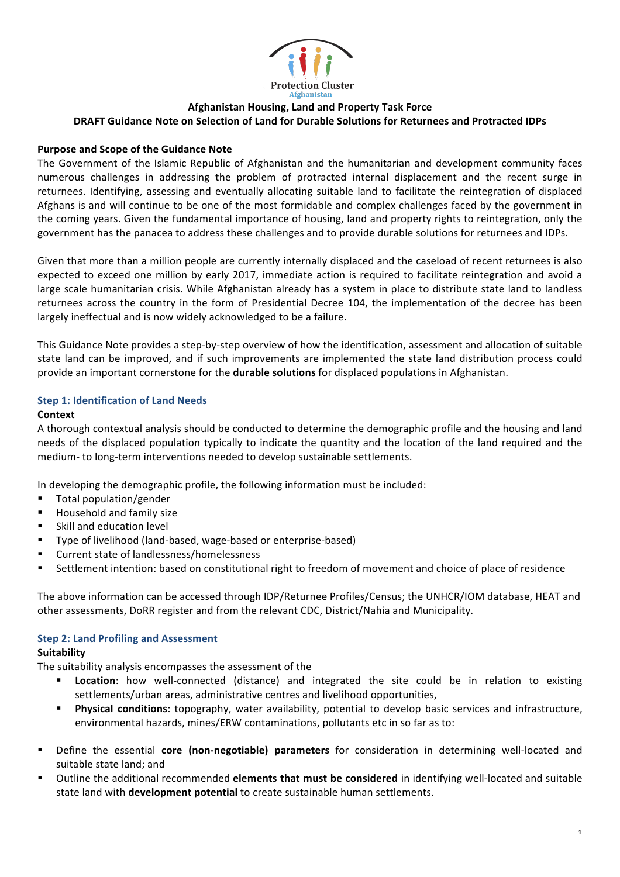

# **Afghanistan Housing, Land and Property Task Force DRAFT Guidance Note on Selection of Land for Durable Solutions for Returnees and Protracted IDPs**

## **Purpose and Scope of the Guidance Note**

The Government of the Islamic Republic of Afghanistan and the humanitarian and development community faces numerous challenges in addressing the problem of protracted internal displacement and the recent surge in returnees. Identifying, assessing and eventually allocating suitable land to facilitate the reintegration of displaced Afghans is and will continue to be one of the most formidable and complex challenges faced by the government in the coming years. Given the fundamental importance of housing, land and property rights to reintegration, only the government has the panacea to address these challenges and to provide durable solutions for returnees and IDPs.

Given that more than a million people are currently internally displaced and the caseload of recent returnees is also expected to exceed one million by early 2017, immediate action is required to facilitate reintegration and avoid a large scale humanitarian crisis. While Afghanistan already has a system in place to distribute state land to landless returnees across the country in the form of Presidential Decree 104, the implementation of the decree has been largely ineffectual and is now widely acknowledged to be a failure.

This Guidance Note provides a step-by-step overview of how the identification, assessment and allocation of suitable state land can be improved, and if such improvements are implemented the state land distribution process could provide an important cornerstone for the **durable solutions** for displaced populations in Afghanistan.

### **Step 1: Identification of Land Needs**

### **Context**

A thorough contextual analysis should be conducted to determine the demographic profile and the housing and land needs of the displaced population typically to indicate the quantity and the location of the land required and the medium- to long-term interventions needed to develop sustainable settlements.

In developing the demographic profile, the following information must be included:

- Total population/gender
- § Household and family size
- Skill and education level
- Type of livelihood (land-based, wage-based or enterprise-based)
- § Current state of landlessness/homelessness
- Settlement intention: based on constitutional right to freedom of movement and choice of place of residence

The above information can be accessed through IDP/Returnee Profiles/Census; the UNHCR/IOM database, HEAT and other assessments, DoRR register and from the relevant CDC, District/Nahia and Municipality.

## **Step 2: Land Profiling and Assessment**

#### **Suitability**

The suitability analysis encompasses the assessment of the

- **Location**: how well-connected (distance) and integrated the site could be in relation to existing settlements/urban areas, administrative centres and livelihood opportunities,
- **Physical conditions**: topography, water availability, potential to develop basic services and infrastructure, environmental hazards, mines/ERW contaminations, pollutants etc in so far as to:
- **•** Define the essential **core (non-negotiable) parameters** for consideration in determining well-located and suitable state land; and
- Outline the additional recommended elements that must be considered in identifying well-located and suitable state land with **development potential** to create sustainable human settlements.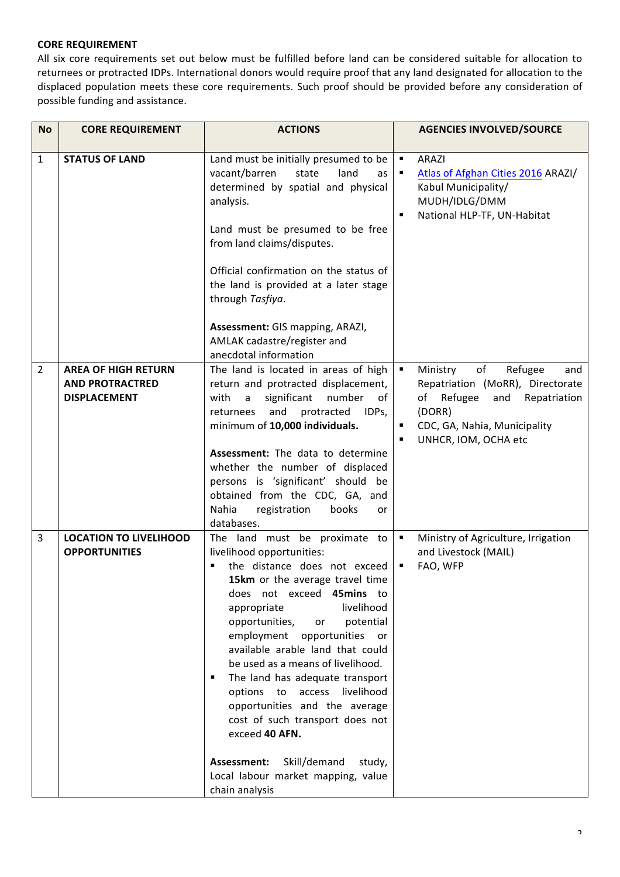## **CORE REQUIREMENT**

All six core requirements set out below must be fulfilled before land can be considered suitable for allocation to returnees or protracted IDPs. International donors would require proof that any land designated for allocation to the displaced population meets these core requirements. Such proof should be provided before any consideration of possible funding and assistance.

| <b>No</b>      | <b>CORE REQUIREMENT</b>                                                     | <b>ACTIONS</b>                                                                                                                                                                                                                                                                                                                                                                                                                                                                                                                                                                                                     |                | <b>AGENCIES INVOLVED/SOURCE</b>                                                                                                                                             |
|----------------|-----------------------------------------------------------------------------|--------------------------------------------------------------------------------------------------------------------------------------------------------------------------------------------------------------------------------------------------------------------------------------------------------------------------------------------------------------------------------------------------------------------------------------------------------------------------------------------------------------------------------------------------------------------------------------------------------------------|----------------|-----------------------------------------------------------------------------------------------------------------------------------------------------------------------------|
| 1              | <b>STATUS OF LAND</b>                                                       | Land must be initially presumed to be<br>vacant/barren<br>state<br>land<br>as<br>determined by spatial and physical<br>analysis.<br>Land must be presumed to be free<br>from land claims/disputes.<br>Official confirmation on the status of<br>the land is provided at a later stage<br>through Tasfiya.<br>Assessment: GIS mapping, ARAZI,<br>AMLAK cadastre/register and<br>anecdotal information                                                                                                                                                                                                               | ٠<br>٠         | ARAZI<br>Atlas of Afghan Cities 2016 ARAZI/<br>Kabul Municipality/<br>MUDH/IDLG/DMM<br>National HLP-TF, UN-Habitat                                                          |
| $\overline{2}$ | <b>AREA OF HIGH RETURN</b><br><b>AND PROTRACTRED</b><br><b>DISPLACEMENT</b> | The land is located in areas of high<br>return and protracted displacement,<br>significant<br>number<br>with<br>of<br>a<br>and<br>protracted<br>IDPs,<br>returnees<br>minimum of 10,000 individuals.<br><b>Assessment:</b> The data to determine<br>whether the number of displaced<br>persons is 'significant' should be<br>obtained from the CDC, GA, and<br>Nahia<br>registration<br>books<br>or<br>databases.                                                                                                                                                                                                  | $\blacksquare$ | of<br>Refugee<br>Ministry<br>and<br>Repatriation (MoRR), Directorate<br>of Refugee<br>and<br>Repatriation<br>(DORR)<br>CDC, GA, Nahia, Municipality<br>UNHCR, IOM, OCHA etc |
| $\overline{3}$ | <b>LOCATION TO LIVELIHOOD</b><br><b>OPPORTUNITIES</b>                       | The land must be proximate to<br>livelihood opportunities:<br>the distance does not exceed<br>15km or the average travel time<br>45mins to<br>does not exceed<br>livelihood<br>appropriate<br>potential<br>opportunities,<br>or<br>employment opportunities<br>or<br>available arable land that could<br>be used as a means of livelihood.<br>The land has adequate transport<br>٠<br>livelihood<br>options<br>to<br>access<br>opportunities and the average<br>cost of such transport does not<br>exceed 40 AFN.<br>Assessment:<br>Skill/demand<br>study,<br>Local labour market mapping, value<br>chain analysis | ٠              | Ministry of Agriculture, Irrigation<br>and Livestock (MAIL)<br>FAO, WFP                                                                                                     |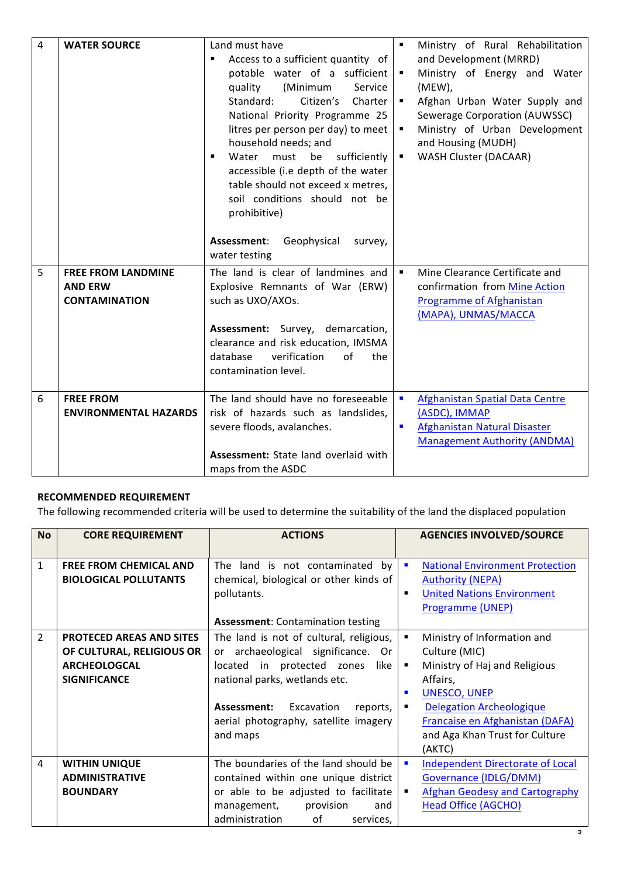| $\overline{4}$ | <b>WATER SOURCE</b>                                                 | Land must have<br>Access to a sufficient quantity of<br>٠<br>potable water of a sufficient<br>quality<br>(Minimum<br>Service<br>Standard:<br>Citizen's<br>Charter<br>National Priority Programme 25<br>litres per person per day) to meet<br>household needs; and<br>Water<br>must<br>be<br>sufficiently<br>٠<br>accessible (i.e depth of the water<br>table should not exceed x metres,<br>soil conditions should not be<br>prohibitive) | ٠<br>٠<br>٠<br>$\blacksquare$ | Ministry of Rural Rehabilitation<br>and Development (MRRD)<br>Ministry of Energy and Water<br>(MEW),<br>Afghan Urban Water Supply and<br>Sewerage Corporation (AUWSSC)<br>Ministry of Urban Development<br>and Housing (MUDH)<br><b>WASH Cluster (DACAAR)</b> |
|----------------|---------------------------------------------------------------------|-------------------------------------------------------------------------------------------------------------------------------------------------------------------------------------------------------------------------------------------------------------------------------------------------------------------------------------------------------------------------------------------------------------------------------------------|-------------------------------|---------------------------------------------------------------------------------------------------------------------------------------------------------------------------------------------------------------------------------------------------------------|
|                |                                                                     | Assessment: Geophysical<br>survey,<br>water testing                                                                                                                                                                                                                                                                                                                                                                                       |                               |                                                                                                                                                                                                                                                               |
| 5              | <b>FREE FROM LANDMINE</b><br><b>AND ERW</b><br><b>CONTAMINATION</b> | The land is clear of landmines and<br>Explosive Remnants of War (ERW)<br>such as UXO/AXOs.                                                                                                                                                                                                                                                                                                                                                | ٠                             | Mine Clearance Certificate and<br>confirmation from Mine Action<br>Programme of Afghanistan<br>(MAPA), UNMAS/MACCA                                                                                                                                            |
|                |                                                                     | Assessment: Survey, demarcation,<br>clearance and risk education, IMSMA<br>of<br>database<br>verification<br>the<br>contamination level.                                                                                                                                                                                                                                                                                                  |                               |                                                                                                                                                                                                                                                               |
| 6              | <b>FREE FROM</b><br><b>ENVIRONMENTAL HAZARDS</b>                    | The land should have no foreseeable<br>risk of hazards such as landslides,<br>severe floods, avalanches.                                                                                                                                                                                                                                                                                                                                  | $\blacksquare$<br>п           | Afghanistan Spatial Data Centre<br>(ASDC), IMMAP<br>Afghanistan Natural Disaster<br><b>Management Authority (ANDMA)</b>                                                                                                                                       |
|                |                                                                     | <b>Assessment:</b> State land overlaid with<br>maps from the ASDC                                                                                                                                                                                                                                                                                                                                                                         |                               |                                                                                                                                                                                                                                                               |

# **RECOMMENDED REQUIREMENT**

The following recommended criteria will be used to determine the suitability of the land the displaced population

| <b>No</b>      | <b>CORE REQUIREMENT</b>         | <b>ACTIONS</b>                           | <b>AGENCIES INVOLVED/SOURCE</b>                           |
|----------------|---------------------------------|------------------------------------------|-----------------------------------------------------------|
|                |                                 |                                          |                                                           |
| 1              | <b>FREE FROM CHEMICAL AND</b>   | The land is not contaminated by          | <b>National Environment Protection</b><br>п               |
|                | <b>BIOLOGICAL POLLUTANTS</b>    | chemical, biological or other kinds of   | <b>Authority (NEPA)</b>                                   |
|                |                                 | pollutants.                              | <b>United Nations Environment</b><br>$\blacksquare$       |
|                |                                 |                                          | Programme (UNEP)                                          |
|                |                                 | <b>Assessment: Contamination testing</b> |                                                           |
| $\overline{2}$ | <b>PROTECED AREAS AND SITES</b> | The land is not of cultural, religious,  | Ministry of Information and<br>٠                          |
|                | OF CULTURAL, RELIGIOUS OR       | or archaeological significance. Or       | Culture (MIC)                                             |
|                | <b>ARCHEOLOGCAL</b>             | located in protected zones<br>like       | Ministry of Haj and Religious<br>٠                        |
|                | <b>SIGNIFICANCE</b>             | national parks, wetlands etc.            | Affairs,                                                  |
|                |                                 |                                          | <b>UNESCO, UNEP</b><br>п                                  |
|                |                                 | Assessment:<br>Excavation<br>reports,    | <b>Delegation Archeologique</b><br>٠                      |
|                |                                 | aerial photography, satellite imagery    | Francaise en Afghanistan (DAFA)                           |
|                |                                 | and maps                                 | and Aga Khan Trust for Culture                            |
|                |                                 |                                          | (AKTC)                                                    |
| 4              | <b>WITHIN UNIQUE</b>            | The boundaries of the land should be     | <b>Independent Directorate of Local</b><br>$\blacksquare$ |
|                | <b>ADMINISTRATIVE</b>           | contained within one unique district     | Governance (IDLG/DMM)                                     |
|                | <b>BOUNDARY</b>                 | or able to be adjusted to facilitate     | <b>Afghan Geodesy and Cartography</b><br>٠                |
|                |                                 | provision<br>management,<br>and          | Head Office (AGCHO)                                       |
|                |                                 | of<br>administration<br>services,        |                                                           |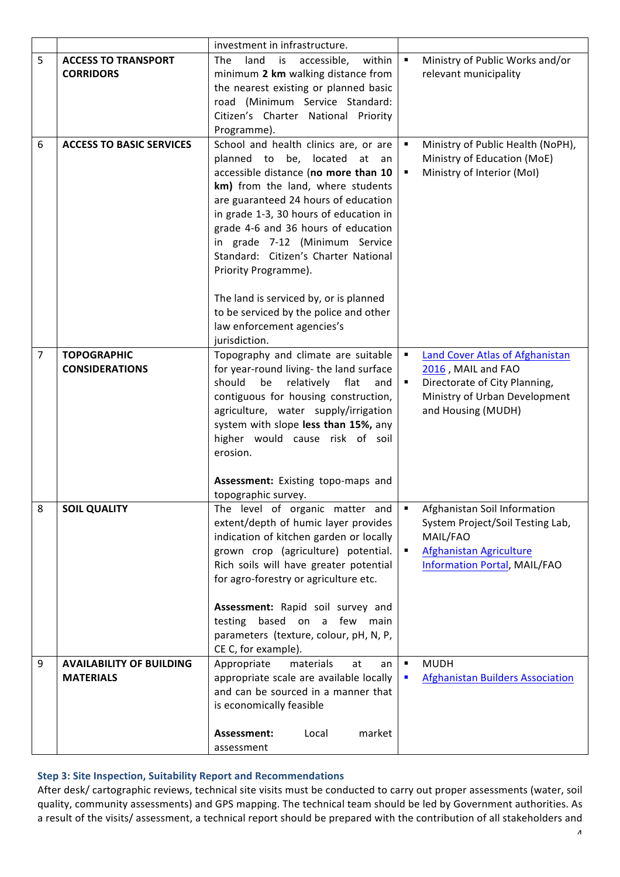|                |                                                     | investment in infrastructure.                                                                                                                                                                                                                                                                                                                                                                                                                                                                                    |                     |                                                                                                                                                |
|----------------|-----------------------------------------------------|------------------------------------------------------------------------------------------------------------------------------------------------------------------------------------------------------------------------------------------------------------------------------------------------------------------------------------------------------------------------------------------------------------------------------------------------------------------------------------------------------------------|---------------------|------------------------------------------------------------------------------------------------------------------------------------------------|
| 5              | <b>ACCESS TO TRANSPORT</b><br><b>CORRIDORS</b>      | land<br>The<br>is<br>accessible,<br>within<br>minimum 2 km walking distance from<br>the nearest existing or planned basic<br>road (Minimum Service Standard:<br>Citizen's Charter National Priority<br>Programme).                                                                                                                                                                                                                                                                                               | $\blacksquare$      | Ministry of Public Works and/or<br>relevant municipality                                                                                       |
| 6              | <b>ACCESS TO BASIC SERVICES</b>                     | School and health clinics are, or are<br>planned to be, located at an<br>accessible distance (no more than 10<br>km) from the land, where students<br>are guaranteed 24 hours of education<br>in grade 1-3, 30 hours of education in<br>grade 4-6 and 36 hours of education<br>in grade 7-12 (Minimum Service<br>Standard: Citizen's Charter National<br>Priority Programme).<br>The land is serviced by, or is planned<br>to be serviced by the police and other<br>law enforcement agencies's<br>jurisdiction. | ٠<br>٠              | Ministry of Public Health (NoPH),<br>Ministry of Education (MoE)<br>Ministry of Interior (Mol)                                                 |
| $\overline{7}$ | <b>TOPOGRAPHIC</b><br><b>CONSIDERATIONS</b>         | Topography and climate are suitable<br>for year-round living- the land surface<br>should<br>be<br>relatively flat<br>and<br>contiguous for housing construction,<br>agriculture, water supply/irrigation<br>system with slope less than 15%, any<br>higher would cause risk of soil<br>erosion.<br>Assessment: Existing topo-maps and<br>topographic survey.                                                                                                                                                     | $\blacksquare$<br>٠ | Land Cover Atlas of Afghanistan<br>2016, MAIL and FAO<br>Directorate of City Planning,<br>Ministry of Urban Development<br>and Housing (MUDH)  |
| 8              | <b>SOIL QUALITY</b>                                 | The level of organic matter and<br>extent/depth of humic layer provides<br>indication of kitchen garden or locally<br>grown crop (agriculture) potential.<br>Rich soils will have greater potential<br>for agro-forestry or agriculture etc.<br>Assessment: Rapid soil survey and<br>based on a few main<br>testing<br>parameters (texture, colour, pH, N, P,<br>CE C, for example).                                                                                                                             | ٠<br>٠              | Afghanistan Soil Information<br>System Project/Soil Testing Lab,<br>MAIL/FAO<br>Afghanistan Agriculture<br><b>Information Portal, MAIL/FAO</b> |
| 9              | <b>AVAILABILITY OF BUILDING</b><br><b>MATERIALS</b> | Appropriate<br>materials<br>at<br>an<br>appropriate scale are available locally<br>and can be sourced in a manner that<br>is economically feasible<br>Assessment:<br>Local<br>market                                                                                                                                                                                                                                                                                                                             | ٠<br>п              | <b>MUDH</b><br><b>Afghanistan Builders Association</b>                                                                                         |
|                |                                                     | assessment                                                                                                                                                                                                                                                                                                                                                                                                                                                                                                       |                     |                                                                                                                                                |

## **Step 3: Site Inspection, Suitability Report and Recommendations**

After desk/ cartographic reviews, technical site visits must be conducted to carry out proper assessments (water, soil quality, community assessments) and GPS mapping. The technical team should be led by Government authorities. As a result of the visits/ assessment, a technical report should be prepared with the contribution of all stakeholders and